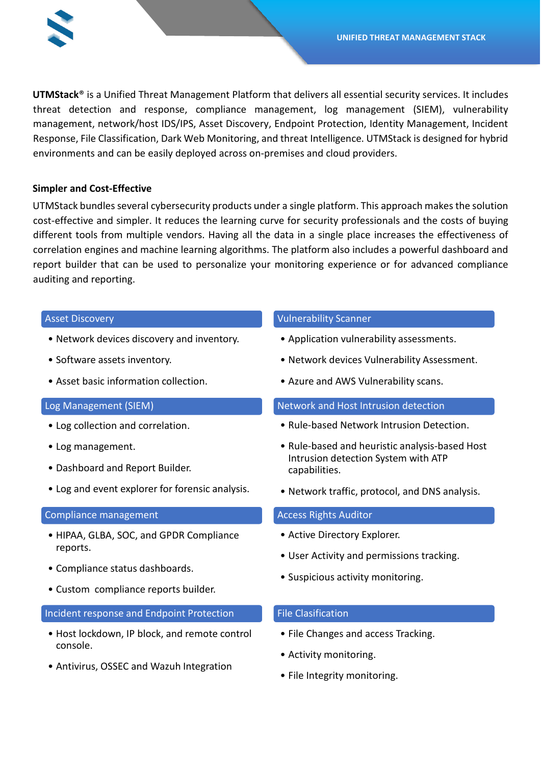

**UTMStack**® is a Unified Threat Management Platform that delivers all essential security services. It includes threat detection and response, compliance management, log management (SIEM), vulnerability management, network/host IDS/IPS, Asset Discovery, Endpoint Protection, Identity Management, Incident Response, File Classification, Dark Web Monitoring, and threat Intelligence. UTMStack is designed for hybrid environments and can be easily deployed across on-premises and cloud providers.

# **Simpler and Cost-Effective**

UTMStack bundlesseveral cybersecurity products under a single platform. This approach makes the solution cost-effective and simpler. It reduces the learning curve for security professionals and the costs of buying different tools from multiple vendors. Having all the data in a single place increases the effectiveness of correlation engines and machine learning algorithms. The platform also includes a powerful dashboard and report builder that can be used to personalize your monitoring experience or for advanced compliance auditing and reporting.

#### Asset Discovery

- Network devices discovery and inventory.
- Software assets inventory.
- Asset basic information collection.

# Log Management (SIEM)

- Log collection and correlation.
- Log management.
- Dashboard and Report Builder.
- Log and event explorer for forensic analysis.

#### Compliance management

- HIPAA, GLBA, SOC, and GPDR Compliance reports.
- Compliance status dashboards.
- Custom compliance reports builder.

# Incident response and Endpoint Protection

- Host lockdown, IP block, and remote control console.
- Antivirus, OSSEC and Wazuh Integration

# Vulnerability Scanner

- Application vulnerability assessments.
- Network devices Vulnerability Assessment.
- Azure and AWS Vulnerability scans.

# Network and Host Intrusion detection

- Rule-based Network Intrusion Detection.
- Rule-based and heuristic analysis-based Host Intrusion detection System with ATP capabilities.
- Network traffic, protocol, and DNS analysis.

# Access Rights Auditor

- Active Directory Explorer.
- User Activity and permissions tracking.
- Suspicious activity monitoring.

# File Clasification

- File Changes and access Tracking.
- Activity monitoring.
- File Integrity monitoring.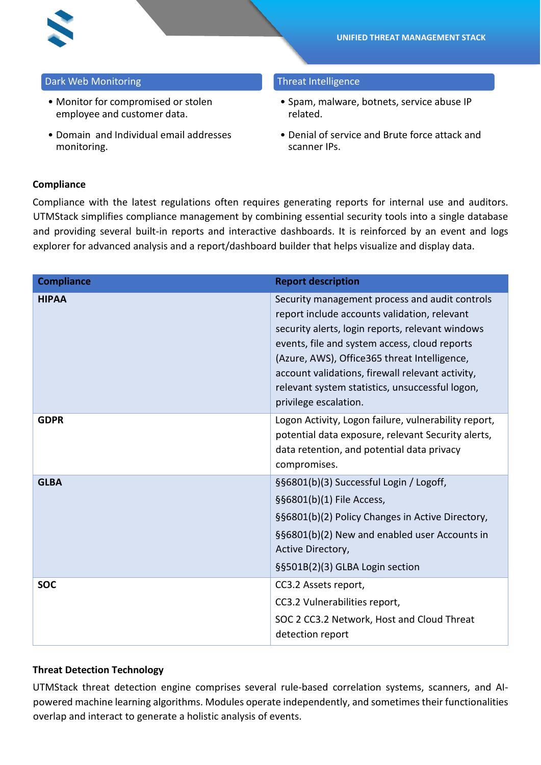

## Dark Web Monitoring

- Monitor for compromised or stolen employee and customer data.
- Domain and Individual email addresses monitoring.

#### Threat Intelligence

- Spam, malware, botnets, service abuse IP related.
- Denial of service and Brute force attack and scanner IPs.

# **Compliance**

Compliance with the latest regulations often requires generating reports for internal use and auditors. UTMStack simplifies compliance management by combining essential security tools into a single database and providing several built-in reports and interactive dashboards. It is reinforced by an event and logs explorer for advanced analysis and a report/dashboard builder that helps visualize and display data.

| <b>Compliance</b> | <b>Report description</b>                                                                                                                                                                                                                                                                                                                                                           |
|-------------------|-------------------------------------------------------------------------------------------------------------------------------------------------------------------------------------------------------------------------------------------------------------------------------------------------------------------------------------------------------------------------------------|
| <b>HIPAA</b>      | Security management process and audit controls<br>report include accounts validation, relevant<br>security alerts, login reports, relevant windows<br>events, file and system access, cloud reports<br>(Azure, AWS), Office365 threat Intelligence,<br>account validations, firewall relevant activity,<br>relevant system statistics, unsuccessful logon,<br>privilege escalation. |
| <b>GDPR</b>       | Logon Activity, Logon failure, vulnerability report,<br>potential data exposure, relevant Security alerts,<br>data retention, and potential data privacy<br>compromises.                                                                                                                                                                                                            |
| <b>GLBA</b>       | §§6801(b)(3) Successful Login / Logoff,<br>§§6801(b)(1) File Access,<br>§§6801(b)(2) Policy Changes in Active Directory,<br>§§6801(b)(2) New and enabled user Accounts in<br>Active Directory,<br>§§501B(2)(3) GLBA Login section                                                                                                                                                   |
| <b>SOC</b>        | CC3.2 Assets report,<br>CC3.2 Vulnerabilities report,<br>SOC 2 CC3.2 Network, Host and Cloud Threat<br>detection report                                                                                                                                                                                                                                                             |

# **Threat Detection Technology**

UTMStack threat detection engine comprises several rule-based correlation systems, scanners, and AIpowered machine learning algorithms. Modules operate independently, and sometimes their functionalities overlap and interact to generate a holistic analysis of events.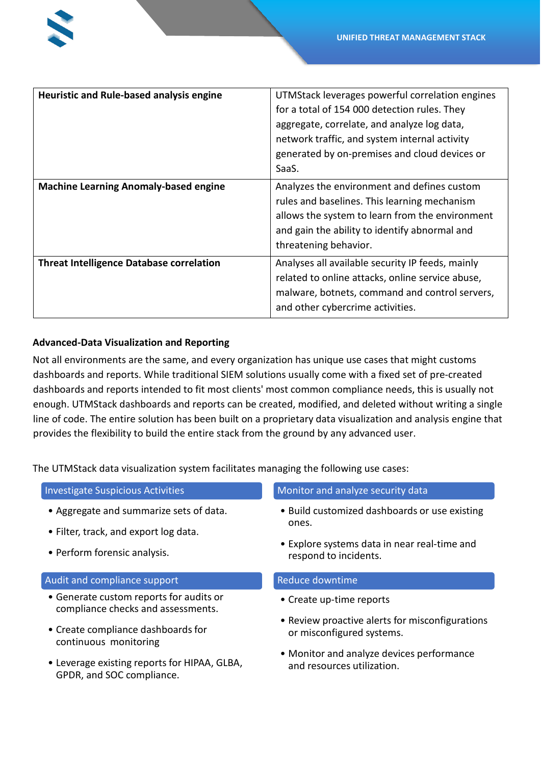

| <b>Heuristic and Rule-based analysis engine</b> | UTMStack leverages powerful correlation engines<br>for a total of 154 000 detection rules. They<br>aggregate, correlate, and analyze log data,<br>network traffic, and system internal activity<br>generated by on-premises and cloud devices or<br>SaaS. |
|-------------------------------------------------|-----------------------------------------------------------------------------------------------------------------------------------------------------------------------------------------------------------------------------------------------------------|
| <b>Machine Learning Anomaly-based engine</b>    | Analyzes the environment and defines custom<br>rules and baselines. This learning mechanism<br>allows the system to learn from the environment<br>and gain the ability to identify abnormal and<br>threatening behavior.                                  |
| <b>Threat Intelligence Database correlation</b> | Analyses all available security IP feeds, mainly<br>related to online attacks, online service abuse,<br>malware, botnets, command and control servers,<br>and other cybercrime activities.                                                                |

# **Advanced-Data Visualization and Reporting**

Not all environments are the same, and every organization has unique use cases that might customs dashboards and reports. While traditional SIEM solutions usually come with a fixed set of pre-created dashboards and reports intended to fit most clients' most common compliance needs, this is usually not enough. UTMStack dashboards and reports can be created, modified, and deleted without writing a single line of code. The entire solution has been built on a proprietary data visualization and analysis engine that provides the flexibility to build the entire stack from the ground by any advanced user.

The UTMStack data visualization system facilitates managing the following use cases:

|  | <b>Investigate Suspicious Activities</b> |  |  |  |
|--|------------------------------------------|--|--|--|
|--|------------------------------------------|--|--|--|

- Aggregate and summarize sets of data.
- Filter, track, and export log data.
- Perform forensic analysis.

#### Audit and compliance support

- Generate custom reports for audits or compliance checks and assessments.
- Create compliance dashboards for continuous monitoring
- Leverage existing reports for HIPAA, GLBA, GPDR, and SOC compliance.

#### Monitor and analyze security data

- Build customized dashboards or use existing ones.
- Explore systems data in near real-time and respond to incidents.

#### Reduce downtime

- Create up-time reports
- Review proactive alerts for misconfigurations or misconfigured systems.
- Monitor and analyze devices performance and resources utilization.